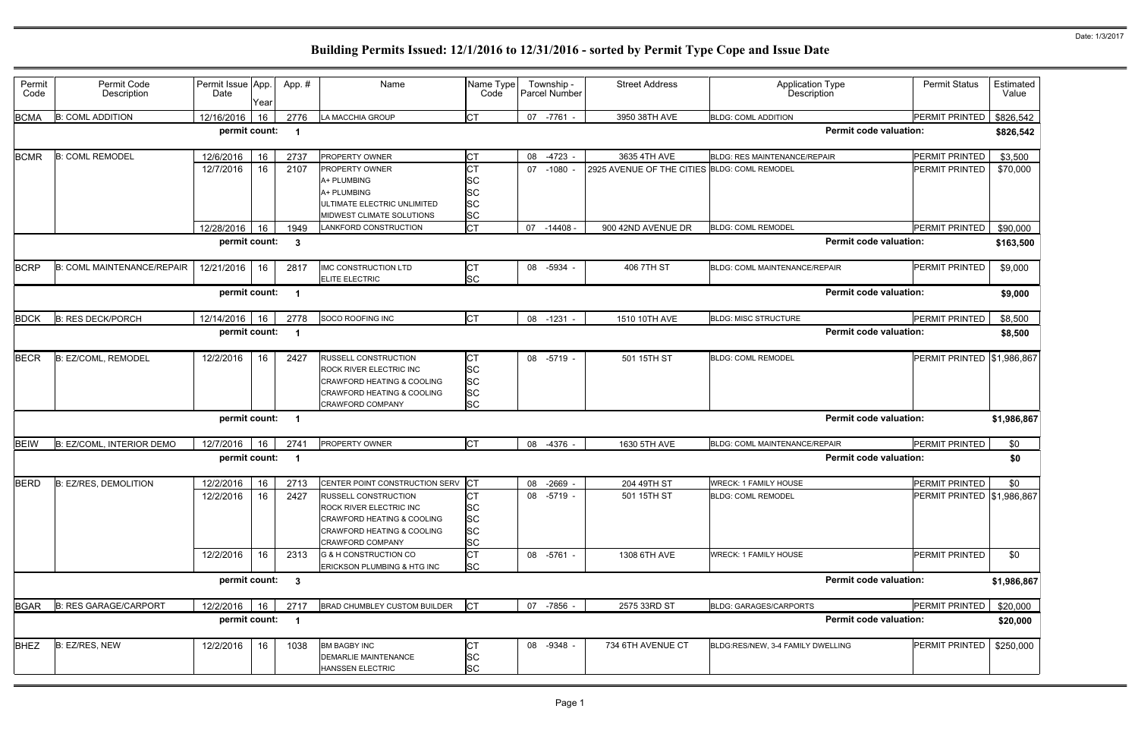| Permit<br>Code | Permit Code<br>Description        | Permit Issue App.<br>Date | Year | App.#          | Name                                                                                                                                                            | Name Type<br>Code                                             | Township -<br>Parcel Number | <b>Street Address</b>                        | <b>Application Type</b><br>Description | <b>Permit Status</b>       | Estimated<br>Value |
|----------------|-----------------------------------|---------------------------|------|----------------|-----------------------------------------------------------------------------------------------------------------------------------------------------------------|---------------------------------------------------------------|-----------------------------|----------------------------------------------|----------------------------------------|----------------------------|--------------------|
| <b>BCMA</b>    | <b>B: COML ADDITION</b>           | 12/16/2016                | 16   | 2776           | LA MACCHIA GROUP                                                                                                                                                | <b>CT</b>                                                     | 07 -7761 -                  | 3950 38TH AVE                                | <b>BLDG: COML ADDITION</b>             | PERMIT PRINTED             | \$826,542          |
|                |                                   | permit count:             |      | - 1            |                                                                                                                                                                 |                                                               |                             |                                              | <b>Permit code valuation:</b>          |                            | \$826,542          |
| <b>BCMR</b>    | <b>B: COML REMODEL</b>            | 12/6/2016                 | 16   | 2737           | PROPERTY OWNER                                                                                                                                                  | <b>CT</b>                                                     | 08<br>-4723 -               | 3635 4TH AVE                                 | <b>BLDG: RES MAINTENANCE/REPAIR</b>    | PERMIT PRINTED             | \$3,500            |
|                |                                   | 12/7/2016                 | 16   | 2107           | PROPERTY OWNER<br>A+ PLUMBING<br>A+ PLUMBING<br>ULTIMATE ELECTRIC UNLIMITED<br>MIDWEST CLIMATE SOLUTIONS                                                        | СT<br>SC<br>SC<br>SC<br><b>SC</b>                             | $-1080 -$<br>07             | 2925 AVENUE OF THE CITIES BLDG: COML REMODEL |                                        | PERMIT PRINTED             | \$70,000           |
|                |                                   | 12/28/2016                | 16   | 1949           | LANKFORD CONSTRUCTION                                                                                                                                           | <b>CT</b>                                                     | 07<br>$-14408$              | 900 42ND AVENUE DR                           | <b>BLDG: COML REMODEL</b>              | PERMIT PRINTED             | \$90,000           |
|                |                                   | permit count:             |      | - 3            |                                                                                                                                                                 |                                                               |                             |                                              | <b>Permit code valuation:</b>          |                            | \$163,500          |
| <b>BCRP</b>    | <b>B: COML MAINTENANCE/REPAIR</b> | 12/21/2016                | 16   | 2817           | <b>IMC CONSTRUCTION LTD</b><br><b>ELITE ELECTRIC</b>                                                                                                            | <b>CT</b><br>SC                                               | 08<br>-5934 -               | 406 7TH ST                                   | BLDG: COML MAINTENANCE/REPAIR          | PERMIT PRINTED             | \$9,000            |
|                |                                   | permit count:             |      | - 1            |                                                                                                                                                                 |                                                               |                             |                                              | <b>Permit code valuation:</b>          |                            | \$9,000            |
| <b>BDCK</b>    | <b>B: RES DECK/PORCH</b>          | 12/14/2016                | 16   | 2778           | SOCO ROOFING INC                                                                                                                                                | <b>CT</b>                                                     | 08 -1231                    | 1510 10TH AVE                                | <b>BLDG: MISC STRUCTURE</b>            | PERMIT PRINTED             | \$8,500            |
|                |                                   | permit count:             |      | - 1            |                                                                                                                                                                 |                                                               |                             |                                              | <b>Permit code valuation:</b>          |                            | \$8,500            |
| <b>BECR</b>    | B: EZ/COML, REMODEL               | 12/2/2016                 | 16   | 2427           | <b>RUSSELL CONSTRUCTION</b><br>ROCK RIVER ELECTRIC INC<br>CRAWFORD HEATING & COOLING<br>CRAWFORD HEATING & COOLING<br><b>CRAWFORD COMPANY</b>                   | <b>CT</b><br><b>SC</b><br><b>SC</b><br><b>SC</b><br><b>SC</b> | 08 -5719 -                  | 501 15TH ST                                  | <b>BLDG: COML REMODEL</b>              | PERMIT PRINTED \$1,986,867 |                    |
|                |                                   | permit count:             |      | $\blacksquare$ |                                                                                                                                                                 |                                                               |                             |                                              | <b>Permit code valuation:</b>          |                            | \$1,986,867        |
| BEIW           | B: EZ/COML, INTERIOR DEMO         | 12/7/2016                 | 16   | 2741           | PROPERTY OWNER                                                                                                                                                  | <b>CT</b>                                                     | 08 -4376 -                  | 1630 5TH AVE                                 | BLDG: COML MAINTENANCE/REPAIR          | PERMIT PRINTED             | \$0                |
|                |                                   | permit count:             |      | $\blacksquare$ |                                                                                                                                                                 |                                                               |                             |                                              | <b>Permit code valuation:</b>          |                            | \$0                |
| <b>BERD</b>    | B: EZ/RES, DEMOLITION             | 12/2/2016                 | 16   | 2713           | CENTER POINT CONSTRUCTION SERV                                                                                                                                  | CT                                                            | 08 -2669 -                  | 204 49TH ST                                  | <b>WRECK: 1 FAMILY HOUSE</b>           | PERMIT PRINTED             | \$0                |
|                |                                   | 12/2/2016                 | 16   | 2427           | <b>RUSSELL CONSTRUCTION</b><br><b>ROCK RIVER ELECTRIC INC</b><br>CRAWFORD HEATING & COOLING<br><b>CRAWFORD HEATING &amp; COOLING</b><br><b>CRAWFORD COMPANY</b> | IСТ<br>SC<br><b>SC</b><br><b>SC</b><br><b>SC</b>              | 08 -5719 -                  | 501 15TH ST                                  | <b>BLDG: COML REMODEL</b>              | PERMIT PRINTED \$1,986,867 |                    |
|                |                                   | 12/2/2016                 | 16   | 2313           | G & H CONSTRUCTION CO<br>ERICKSON PLUMBING & HTG INC                                                                                                            | <b>CT</b><br><b>SC</b>                                        | 08 -5761 -                  | 1308 6TH AVE                                 | WRECK: 1 FAMILY HOUSE                  | PERMIT PRINTED             | \$0                |
|                |                                   | permit count: 3           |      |                |                                                                                                                                                                 |                                                               |                             |                                              | <b>Permit code valuation:</b>          |                            | \$1,986,867        |
| <b>BGAR</b>    | <b>B: RES GARAGE/CARPORT</b>      | 12/2/2016                 | 16   | 2717           | <b>BRAD CHUMBLEY CUSTOM BUILDER</b>                                                                                                                             | <b>CT</b>                                                     | 07 -7856 -                  | 2575 33RD ST                                 | <b>BLDG: GARAGES/CARPORTS</b>          | PERMIT PRINTED             | \$20,000           |
|                |                                   | permit count:             |      | $\overline{1}$ |                                                                                                                                                                 |                                                               |                             |                                              | <b>Permit code valuation:</b>          |                            | \$20,000           |
| <b>BHEZ</b>    | B: EZ/RES, NEW                    | 12/2/2016                 | 16   | 1038           | <b>BM BAGBY INC</b><br>DEMARLIE MAINTENANCE<br>HANSSEN ELECTRIC                                                                                                 | СT<br><b>SC</b><br><b>SC</b>                                  | 08 -9348 -                  | 734 6TH AVENUE CT                            | BLDG:RES/NEW, 3-4 FAMILY DWELLING      | PERMIT PRINTED             | \$250,000          |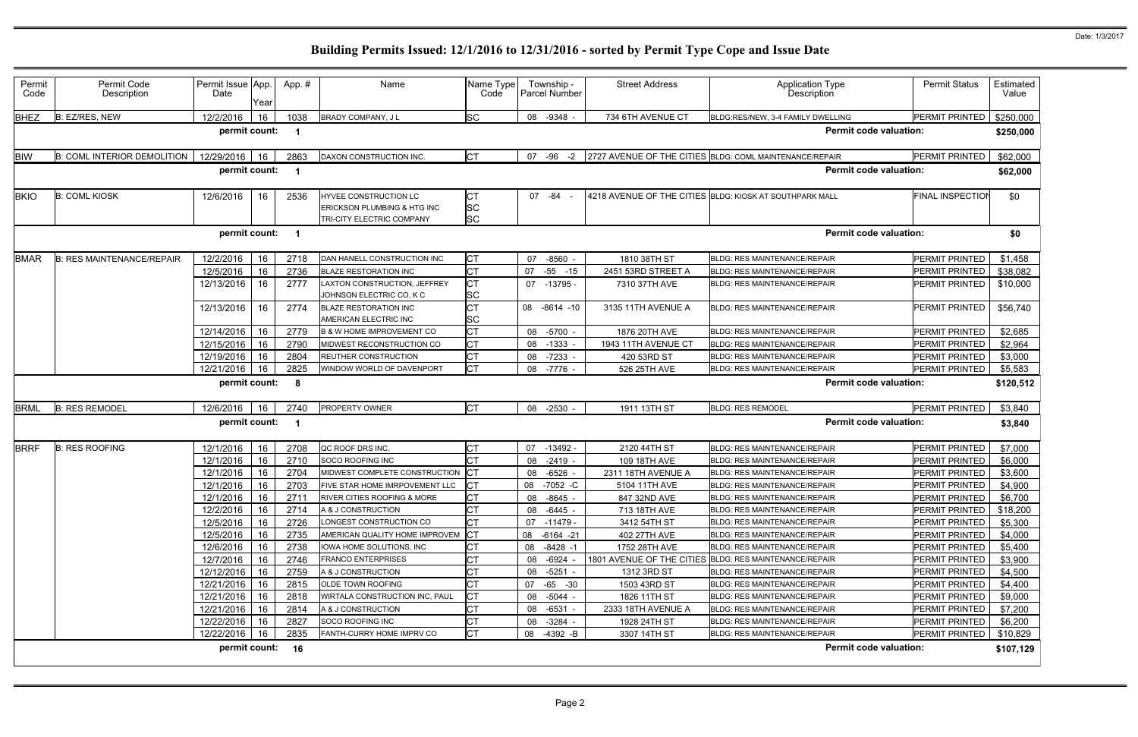| Permit<br>Code | Permit Code<br>Description                                                | Permit Issue App.<br>Date | Year     | App.#                   | Name                                                                              | Name Type<br>Code                   | Township -<br>Parcel Number | <b>Street Address</b>        | <b>Application Type</b><br><b>Description</b>                                          | <b>Permit Status</b>             | Estimated<br>Value |
|----------------|---------------------------------------------------------------------------|---------------------------|----------|-------------------------|-----------------------------------------------------------------------------------|-------------------------------------|-----------------------------|------------------------------|----------------------------------------------------------------------------------------|----------------------------------|--------------------|
| BHEZ           | B: EZ/RES, NEW                                                            | 12/2/2016                 | 16       | 1038                    | BRADY COMPANY, J L                                                                | SC                                  | 08 -9348 -                  | 734 6TH AVENUE CT            | BLDG:RES/NEW, 3-4 FAMILY DWELLING                                                      | PERMIT PRINTED                   | \$250,000          |
|                |                                                                           | permit count:             |          | -1                      |                                                                                   |                                     |                             |                              | <b>Permit code valuation:</b>                                                          |                                  | \$250,000          |
| <b>BIW</b>     | <b>B: COML INTERIOR DEMOLITION</b>                                        | 12/29/2016                | 16       | 2863                    | DAXON CONSTRUCTION INC.                                                           | <b>ICT</b>                          | $-96$<br>$-2$<br>07         |                              | 2727 AVENUE OF THE CITIES BLDG: COML MAINTENANCE/REPAIR                                | PERMIT PRINTED                   | \$62,000           |
|                | <b>Permit code valuation:</b><br>permit count:<br>$\overline{\mathbf{1}}$ |                           |          |                         |                                                                                   |                                     |                             |                              |                                                                                        | \$62,000                         |                    |
| <b>BKIO</b>    | <b>B: COML KIOSK</b>                                                      | 12/6/2016                 | 16       | 2536                    | HYVEE CONSTRUCTION LC<br>ERICKSON PLUMBING & HTG INC<br>TRI-CITY ELECTRIC COMPANY | <b>CT</b><br><b>SC</b><br><b>SC</b> | 07 -84                      |                              | 4218 AVENUE OF THE CITIES BLDG: KIOSK AT SOUTHPARK MALL                                | <b>FINAL INSPECTION</b>          | \$0                |
|                |                                                                           | permit count:             |          | -1                      |                                                                                   |                                     |                             |                              | <b>Permit code valuation:</b>                                                          |                                  | \$0                |
| <b>BMAR</b>    | <b>B: RES MAINTENANCE/REPAIR</b>                                          | 12/2/2016                 | 16       | 2718                    | DAN HANELL CONSTRUCTION INC                                                       | <b>CT</b>                           | $-8560$<br>07               | 1810 38TH ST                 | <b>BLDG: RES MAINTENANCE/REPAIR</b>                                                    | PERMIT PRINTED                   | \$1,458            |
|                |                                                                           | 12/5/2016                 | 16       | 2736                    | <b>BLAZE RESTORATION INC</b>                                                      | <b>CT</b>                           | 07<br>$-55 - 15$            | 2451 53RD STREET A           | <b>BLDG: RES MAINTENANCE/REPAIR</b>                                                    | PERMIT PRINTED                   | \$38,082           |
|                |                                                                           | 12/13/2016                | 16       | 2777                    | LAXTON CONSTRUCTION, JEFFREY<br>JOHNSON ELECTRIC CO, K C                          | <b>CT</b><br><b>SC</b>              | 07<br>$-13795$              | 7310 37TH AVE                | <b>BLDG: RES MAINTENANCE/REPAIR</b>                                                    | PERMIT PRINTED                   | \$10,000           |
|                |                                                                           | 12/13/2016                | 16       | 2774                    | <b>BLAZE RESTORATION INC</b><br>AMERICAN ELECTRIC INC                             | <b>CT</b><br>SC                     | 08<br>$-8614 - 10$          | 3135 11TH AVENUE A           | <b>BLDG: RES MAINTENANCE/REPAIR</b>                                                    | PERMIT PRINTED                   | \$56,740           |
|                |                                                                           | 12/14/2016                | 16       | 2779                    | <b>B &amp; W HOME IMPROVEMENT CO</b>                                              | <b>CT</b>                           | $-5700 -$<br>08             | 1876 20TH AVE                | <b>BLDG: RES MAINTENANCE/REPAIR</b>                                                    | PERMIT PRINTED                   | \$2,685            |
|                |                                                                           | 12/15/2016                | 16       | 2790                    | MIDWEST RECONSTRUCTION CO                                                         | <b>CT</b>                           | 08<br>$-1333$               | 1943 11TH AVENUE CT          | <b>BLDG: RES MAINTENANCE/REPAIR</b>                                                    | PERMIT PRINTED                   | \$2,964            |
|                |                                                                           | 12/19/2016                | 16       | 2804                    | REUTHER CONSTRUCTION                                                              | <b>CT</b>                           | 08<br>$-7233 -$             | 420 53RD ST                  | <b>BLDG: RES MAINTENANCE/REPAIR</b>                                                    | PERMIT PRINTED                   | \$3,000            |
|                |                                                                           | 12/21/2016                | 16       | 2825                    | WINDOW WORLD OF DAVENPORT                                                         | <b>CT</b>                           | 08<br>-7776 -               | 526 25TH AVE                 | <b>BLDG: RES MAINTENANCE/REPAIR</b>                                                    | PERMIT PRINTED                   | \$5,583            |
|                |                                                                           | permit count:             |          | - 8                     |                                                                                   |                                     |                             |                              | <b>Permit code valuation:</b>                                                          |                                  | \$120,512          |
| <b>BRML</b>    | <b>B: RES REMODEL</b>                                                     | 12/6/2016                 | 16       | 2740                    | PROPERTY OWNER                                                                    | <b>CT</b>                           | $-2530$<br>08               | 1911 13TH ST                 | <b>BLDG: RES REMODEL</b>                                                               | PERMIT PRINTED                   | \$3,840            |
|                |                                                                           | permit count:             |          | $\overline{\mathbf{1}}$ |                                                                                   |                                     |                             |                              | <b>Permit code valuation:</b>                                                          |                                  | \$3,840            |
| <b>BRRF</b>    | <b>B: RES ROOFING</b>                                                     | 12/1/2016                 | 16       | 2708                    | QC ROOF DRS INC.                                                                  | <b>CT</b>                           | 07<br>$-13492 -$            | 2120 44TH ST                 | BLDG: RES MAINTENANCE/REPAIR                                                           | PERMIT PRINTED                   | \$7,000            |
|                |                                                                           | 12/1/2016                 | 16       | 2710                    | SOCO ROOFING INC                                                                  | СT                                  | $-2419 -$<br>08             | 109 18TH AVE                 | <b>BLDG: RES MAINTENANCE/REPAIR</b>                                                    | PERMIT PRINTED                   | \$6,000            |
|                |                                                                           | 12/1/2016                 | 16       | 2704                    | MIDWEST COMPLETE CONSTRUCTION                                                     |                                     | $-6526$<br>08               | 2311 18TH AVENUE A           | <b>BLDG: RES MAINTENANCE/REPAIR</b>                                                    | <b>PERMIT PRINTED</b>            | \$3,600            |
|                |                                                                           | 12/1/2016                 | 16       | 2703                    | FIVE STAR HOME IMRPOVEMENT LLC                                                    |                                     | 08<br>$-7052 - C$           | 5104 11TH AVE                | <b>BLDG: RES MAINTENANCE/REPAIR</b>                                                    | PERMIT PRINTED                   | \$4,900            |
|                |                                                                           | 12/1/2016                 | 16       | 2711                    | RIVER CITIES ROOFING & MORE                                                       | <b>CT</b>                           | 08 -8645 -                  | 847 32ND AVE                 | BLDG: RES MAINTENANCE/REPAIR                                                           | PERMIT PRINTED                   | \$6,700            |
|                |                                                                           | 12/2/2016                 | 16       | 2714                    | A & J CONSTRUCTION                                                                | <b>CT</b>                           | -6445 -<br>08               | 713 18TH AVE                 | BLDG: RES MAINTENANCE/REPAIR                                                           | PERMIT PRINTED                   | \$18,200           |
|                |                                                                           | 12/5/2016                 | 16       | 2726                    | LONGEST CONSTRUCTION CO                                                           | <b>ICT</b>                          | 07<br>-11479 -              | 3412 54TH ST                 | BLDG: RES MAINTENANCE/REPAIR                                                           | PERMIT PRINTED                   | \$5,300            |
|                |                                                                           | 12/5/2016                 | 16       | 2735                    | AMERICAN QUALITY HOME IMPROVEM                                                    | CT                                  | 08 -6164 -21                | 402 27TH AVE                 | BLDG: RES MAINTENANCE/REPAIR                                                           | PERMIT PRINTED                   | \$4,000            |
|                |                                                                           | 12/6/2016                 | 16       | 2738                    | IOWA HOME SOLUTIONS, INC                                                          | <b>CT</b>                           | $-8428 - 1$<br>08           | 1752 28TH AVE                | <b>BLDG: RES MAINTENANCE/REPAIR</b>                                                    | PERMIT PRINTED                   | \$5,400            |
|                |                                                                           | 12/7/2016                 | 16       | 2746                    | <b>FRANCO ENTERPRISES</b>                                                         | СT                                  | -6924 -<br>08               |                              | 1801 AVENUE OF THE CITIES BLDG: RES MAINTENANCE/REPAIR<br>BLDG: RES MAINTENANCE/REPAIR | PERMIT PRINTED                   | \$3,900            |
|                |                                                                           | 12/12/2016<br>12/21/2016  | 16       | 2759                    | A & J CONSTRUCTION<br>OLDE TOWN ROOFING                                           | СT                                  | $-5251 -$<br>08<br>07       | 1312 3RD ST                  | BLDG: RES MAINTENANCE/REPAIR                                                           | PERMIT PRINTED                   | \$4,500            |
|                |                                                                           | 12/21/2016                | 16<br>16 | 2815<br>2818            | WIRTALA CONSTRUCTION INC, PAUL                                                    | Iст                                 | -65 -30<br>08 -5044 -       | 1503 43RD ST<br>1826 11TH ST | <b>BLDG: RES MAINTENANCE/REPAIR</b>                                                    | PERMIT PRINTED<br>PERMIT PRINTED | \$4,400<br>\$9,000 |
|                |                                                                           | 12/21/2016                | 16       | 2814                    | A & J CONSTRUCTION                                                                | СT                                  | -6531 -<br>08               | 2333 18TH AVENUE A           | <b>BLDG: RES MAINTENANCE/REPAIR</b>                                                    | PERMIT PRINTED                   | \$7,200            |
|                |                                                                           | 12/22/2016                | 16       | 2827                    | SOCO ROOFING INC                                                                  | <b>CT</b>                           | $-3284 -$<br>08             | 1928 24TH ST                 | BLDG: RES MAINTENANCE/REPAIR                                                           | PERMIT PRINTED                   | \$6,200            |
|                |                                                                           | 12/22/2016                | 16       | 2835                    | FANTH-CURRY HOME IMPRV CO                                                         | <b>CT</b>                           | 08 -4392 -B                 | 3307 14TH ST                 | <b>BLDG: RES MAINTENANCE/REPAIR</b>                                                    | PERMIT PRINTED                   | \$10,829           |
|                |                                                                           | permit count: 16          |          |                         |                                                                                   |                                     |                             |                              | <b>Permit code valuation:</b>                                                          |                                  | \$107,129          |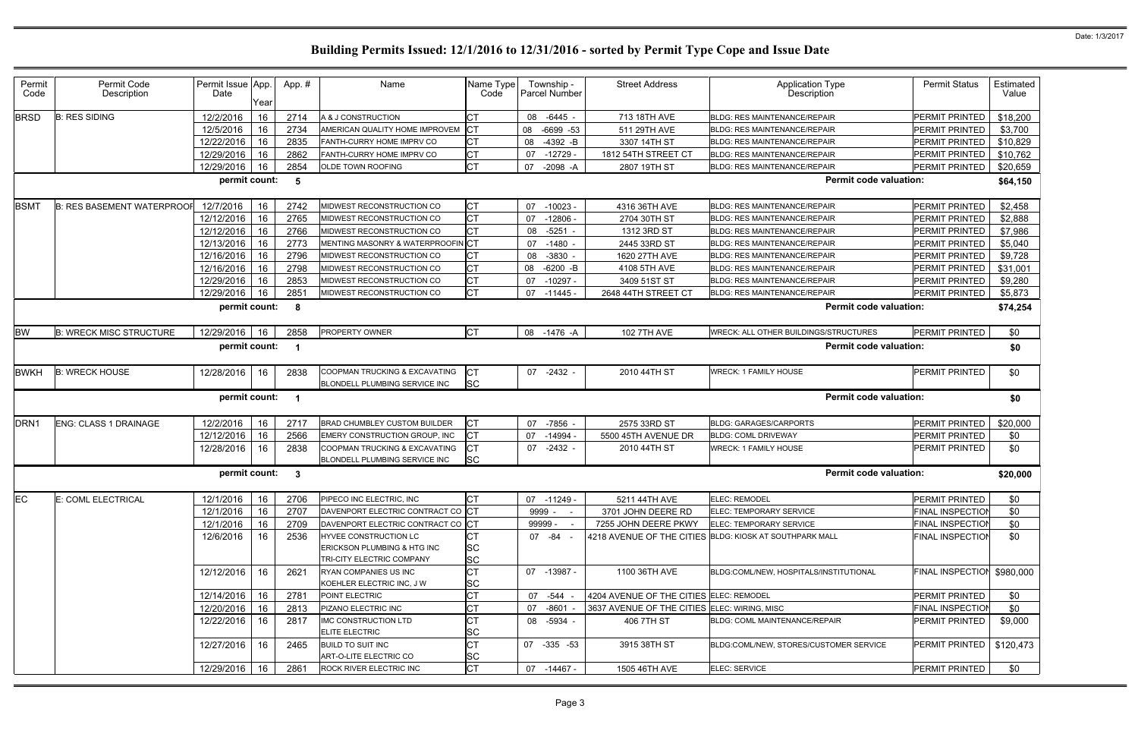| Permit<br>Code   | Permit Code<br>Description        | Permit Issue App.<br>Date | Year | App.# | Name                                               | Name Type<br>Code      | Township -<br>Parcel Number | <b>Street Address</b>                        | <b>Application Type</b><br>Description                  | <b>Permit Status</b>    | Estimated<br>Value |
|------------------|-----------------------------------|---------------------------|------|-------|----------------------------------------------------|------------------------|-----------------------------|----------------------------------------------|---------------------------------------------------------|-------------------------|--------------------|
| <b>BRSD</b>      | <b>B: RES SIDING</b>              | 12/2/2016                 | 16   | 2714  | A & J CONSTRUCTION                                 | <b>CT</b>              | $-6445 -$<br>80             | 713 18TH AVE                                 | <b>BLDG: RES MAINTENANCE/REPAIR</b>                     | PERMIT PRINTED          | \$18,200           |
|                  |                                   | 12/5/2016                 | 16   | 2734  | AMERICAN QUALITY HOME IMPROVEM                     | $ _{\rm CT}$           | 08<br>$-6699 - 53$          | 511 29TH AVE                                 | <b>BLDG: RES MAINTENANCE/REPAIR</b>                     | PERMIT PRINTED          | \$3,700            |
|                  |                                   | 12/22/2016                | 16   | 2835  | FANTH-CURRY HOME IMPRV CO                          | IСТ                    | $-4392 - B$<br>08           | 3307 14TH ST                                 | BLDG: RES MAINTENANCE/REPAIR                            | PERMIT PRINTED          | \$10,829           |
|                  |                                   | 12/29/2016                | 16   | 2862  | FANTH-CURRY HOME IMPRV CO                          | <b>CT</b>              | 07<br>$-12729$              | 1812 54TH STREET CT                          | <b>BLDG: RES MAINTENANCE/REPAIR</b>                     | PERMIT PRINTED          | \$10,762           |
|                  |                                   | 12/29/2016                | 16   | 2854  | OLDE TOWN ROOFING                                  | <b>CT</b>              | 07<br>$-2098 - A$           | 2807 19TH ST                                 | <b>BLDG: RES MAINTENANCE/REPAIR</b>                     | <b>PERMIT PRINTED</b>   | \$20,659           |
|                  |                                   | permit count:             |      | 5     |                                                    |                        |                             |                                              | <b>Permit code valuation:</b>                           |                         | \$64,150           |
| <b>BSMT</b>      | <b>B: RES BASEMENT WATERPROOF</b> | 12/7/2016                 | 16   | 2742  | MIDWEST RECONSTRUCTION CO                          | <b>CT</b>              | $-10023$<br>07              | 4316 36TH AVE                                | <b>BLDG: RES MAINTENANCE/REPAIR</b>                     | PERMIT PRINTED          | \$2,458            |
|                  |                                   | 12/12/2016                | 16   | 2765  | MIDWEST RECONSTRUCTION CO                          | <b>CT</b>              | 07<br>$-12806$              | 2704 30TH ST                                 | <b>BLDG: RES MAINTENANCE/REPAIR</b>                     | <b>PERMIT PRINTED</b>   | \$2,888            |
|                  |                                   | 12/12/2016                | 16   | 2766  | MIDWEST RECONSTRUCTION CO                          | Iст                    | $-5251$<br>08               | 1312 3RD ST                                  | <b>BLDG: RES MAINTENANCE/REPAIR</b>                     | PERMIT PRINTED          | \$7,986            |
|                  |                                   | 12/13/2016                | 16   | 2773  | MENTING MASONRY & WATERPROOFIN CT                  |                        | 07<br>$-1480$               | 2445 33RD ST                                 | <b>BLDG: RES MAINTENANCE/REPAIR</b>                     | PERMIT PRINTED          | \$5,040            |
|                  |                                   | 12/16/2016                | 16   | 2796  | MIDWEST RECONSTRUCTION CO                          | Iст                    | 08<br>$-3830$               | 1620 27TH AVE                                | <b>BLDG: RES MAINTENANCE/REPAIR</b>                     | PERMIT PRINTED          | \$9,728            |
|                  |                                   | 12/16/2016                | 16   | 2798  | MIDWEST RECONSTRUCTION CO                          | Iст                    | $-6200 - B$<br>08           | 4108 5TH AVE                                 | <b>BLDG: RES MAINTENANCE/REPAIR</b>                     | PERMIT PRINTED          | \$31,001           |
|                  |                                   | 12/29/2016                | 16   | 2853  | MIDWEST RECONSTRUCTION CO                          | <b>CT</b>              | 07<br>$-10297$              | 3409 51ST ST                                 | <b>BLDG: RES MAINTENANCE/REPAIR</b>                     | PERMIT PRINTED          | \$9,280            |
|                  |                                   | 12/29/2016                | 16   | 2851  | MIDWEST RECONSTRUCTION CO                          | <b>CT</b>              | 07<br>$-11445$              | 2648 44TH STREET CT                          | <b>BLDG: RES MAINTENANCE/REPAIR</b>                     | PERMIT PRINTED          | \$5,873            |
|                  |                                   | permit count:             |      | -8    |                                                    |                        |                             |                                              | <b>Permit code valuation:</b>                           |                         | \$74,254           |
| <b>BW</b>        | <b>B: WRECK MISC STRUCTURE</b>    | 12/29/2016                | 16   | 2858  | PROPERTY OWNER                                     | Iст                    | 08<br>$-1476 - A$           | <b>102 7TH AVE</b>                           | WRECK: ALL OTHER BUILDINGS/STRUCTURES                   | PERMIT PRINTED          | \$0                |
|                  | permit count:<br>-1               |                           |      |       |                                                    |                        |                             |                                              | <b>Permit code valuation:</b>                           |                         | \$0                |
| <b>BWKH</b>      | <b>B: WRECK HOUSE</b>             | 12/28/2016                | 16   | 2838  | COOPMAN TRUCKING & EXCAVATING                      | Iст                    | 07<br>$-2432$               | 2010 44TH ST                                 | <b>WRECK: 1 FAMILY HOUSE</b>                            | <b>PERMIT PRINTED</b>   | \$0                |
|                  |                                   |                           |      |       | BLONDELL PLUMBING SERVICE INC                      | <b>SC</b>              |                             |                                              |                                                         |                         |                    |
|                  |                                   | permit count:             |      | -1    |                                                    |                        |                             |                                              | <b>Permit code valuation:</b>                           |                         | \$0                |
| DRN <sub>1</sub> | <b>ENG: CLASS 1 DRAINAGE</b>      | 12/2/2016                 | 16   | 2717  | <b>BRAD CHUMBLEY CUSTOM BUILDER</b>                | Iст                    | -7856<br>07                 | 2575 33RD ST                                 | <b>BLDG: GARAGES/CARPORTS</b>                           | PERMIT PRINTED          | \$20,000           |
|                  |                                   | 12/12/2016                | 16   | 2566  | EMERY CONSTRUCTION GROUP, INC                      | <b>CT</b>              | $-14994$<br>07              | 5500 45TH AVENUE DR                          | <b>BLDG: COML DRIVEWAY</b>                              | PERMIT PRINTED          | \$0                |
|                  |                                   | 12/28/2016                | 16   | 2838  | COOPMAN TRUCKING & EXCAVATING                      | <b>CT</b>              | 07<br>-2432                 | 2010 44TH ST                                 | <b>WRECK: 1 FAMILY HOUSE</b>                            | <b>PERMIT PRINTED</b>   | \$0                |
|                  |                                   |                           |      |       | BLONDELL PLUMBING SERVICE INC                      | <b>SC</b>              |                             |                                              |                                                         |                         |                    |
|                  |                                   | permit count:             |      | - 3   |                                                    |                        |                             |                                              | <b>Permit code valuation:</b>                           |                         | \$20,000           |
| <b>EC</b>        | E: COML ELECTRICAL                | 12/1/2016                 | 16   | 2706  | PIPECO INC ELECTRIC, INC                           | <b>CT</b>              | 07 -11249 -                 | 5211 44TH AVE                                | <b>ELEC: REMODEL</b>                                    | PERMIT PRINTED          | \$0                |
|                  |                                   | 12/1/2016                 | 16   | 2707  | DAVENPORT ELECTRIC CONTRACT CO CT                  |                        | 9999 -                      | 3701 JOHN DEERE RD                           | ELEC: TEMPORARY SERVICE                                 | FINAL INSPECTION        | \$0                |
|                  |                                   | 12/1/2016                 | 16   | 2709  | DAVENPORT ELECTRIC CONTRACT CO CT                  |                        | 99999 -                     | 7255 JOHN DEERE PKWY                         | <b>ELEC: TEMPORARY SERVICE</b>                          | <b>FINAL INSPECTION</b> | \$0                |
|                  |                                   | 12/6/2016                 | 16   | 2536  | HYVEE CONSTRUCTION LC                              | IСТ                    | 07 - 84 -                   |                                              | 4218 AVENUE OF THE CITIES BLDG: KIOSK AT SOUTHPARK MALL | <b>FINAL INSPECTION</b> | \$0                |
|                  |                                   |                           |      |       | ERICKSON PLUMBING & HTG INC                        | <b>SC</b>              |                             |                                              |                                                         |                         |                    |
|                  |                                   |                           |      |       | TRI-CITY ELECTRIC COMPANY                          | <b>SC</b>              |                             |                                              |                                                         |                         |                    |
|                  |                                   | 12/12/2016                | 16   | 2621  | RYAN COMPANIES US INC                              | <b>CT</b>              | 07 -13987 -                 | 1100 36TH AVE                                | BLDG:COML/NEW, HOSPITALS/INSTITUTIONAL                  | <b>FINAL INSPECTION</b> | \$980,000          |
|                  |                                   |                           |      |       | KOEHLER ELECTRIC INC, J W                          | <b>SC</b>              |                             |                                              |                                                         |                         |                    |
|                  |                                   | 12/14/2016                | 16   | 2781  | POINT ELECTRIC                                     | <b>CT</b>              | -544<br>07                  | 4204 AVENUE OF THE CITIES ELEC: REMODEL      |                                                         | PERMIT PRINTED          | \$0                |
|                  |                                   | 12/20/2016                | 16   | 2813  | PIZANO ELECTRIC INC                                | Iст                    | $-8601$<br>07               | 3637 AVENUE OF THE CITIES ELEC: WIRING, MISC |                                                         | FINAL INSPECTION        | \$0                |
|                  |                                   | 12/22/2016                | 16   | 2817  | IMC CONSTRUCTION LTD                               | <b>CT</b>              | 08 -5934 -                  | 406 7TH ST                                   | <b>BLDG: COML MAINTENANCE/REPAIR</b>                    | PERMIT PRINTED          | \$9,000            |
|                  |                                   |                           |      |       | ELITE ELECTRIC                                     | <b>SC</b>              |                             |                                              |                                                         |                         |                    |
|                  |                                   | 12/27/2016                | 16   | 2465  | <b>BUILD TO SUIT INC</b><br>ART-O-LITE ELECTRIC CO | <b>CT</b><br><b>SC</b> | 07 -335 -53                 | 3915 38TH ST                                 | BLDG:COML/NEW, STORES/CUSTOMER SERVICE                  | <b>PERMIT PRINTED</b>   | \$120,473          |
|                  |                                   | 12/29/2016                | 16   | 2861  | ROCK RIVER ELECTRIC INC                            | <b>CT</b>              | 07 -14467 -                 | 1505 46TH AVE                                | ELEC: SERVICE                                           | PERMIT PRINTED          | \$0                |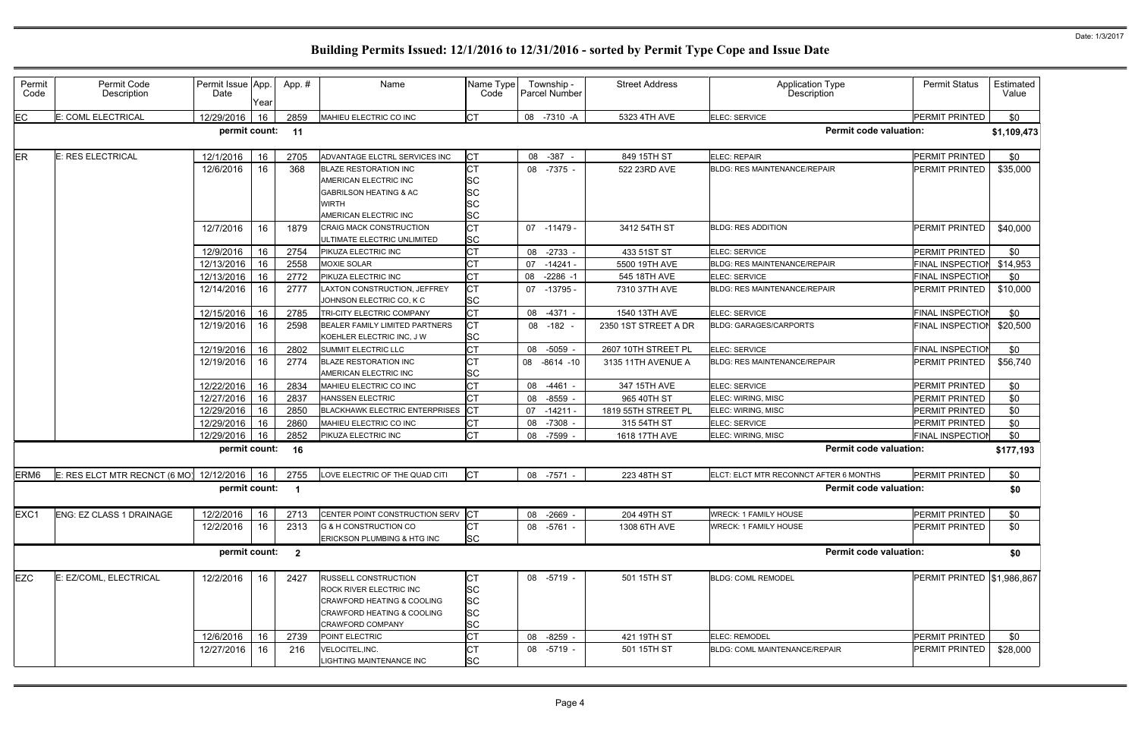| Permit<br>Code   | Permit Code<br>Description    | Permit Issue App.<br>Date | Year | App.# | Name                                                                                                                                                                | Name Type<br>Code                                      | Township -<br><b>Parcel Number</b> | <b>Street Address</b> | <b>Application Type</b><br><b>Description</b> | <b>Permit Status</b>       | Estimated<br>Value |
|------------------|-------------------------------|---------------------------|------|-------|---------------------------------------------------------------------------------------------------------------------------------------------------------------------|--------------------------------------------------------|------------------------------------|-----------------------|-----------------------------------------------|----------------------------|--------------------|
| EC               | E: COML ELECTRICAL            | 12/29/2016                | 16   | 2859  | MAHIEU ELECTRIC CO INC                                                                                                                                              | <b>CT</b>                                              | 08 -7310 -A                        | 5323 4TH AVE          | ELEC: SERVICE                                 | PERMIT PRINTED             | \$0                |
|                  |                               | permit count:             |      | 11    |                                                                                                                                                                     |                                                        |                                    |                       | <b>Permit code valuation:</b>                 |                            | \$1,109,473        |
| <b>ER</b>        | E: RES ELECTRICAL             | 12/1/2016                 | 16   | 2705  | ADVANTAGE ELCTRL SERVICES INC                                                                                                                                       | Iст                                                    | 08 -387 -                          | 849 15TH ST           | ELEC: REPAIR                                  | PERMIT PRINTED             | \$0                |
|                  |                               | 12/6/2016                 | 16   | 368   | <b>BLAZE RESTORATION INC</b><br>AMERICAN ELECTRIC INC<br><b>GABRILSON HEATING &amp; AC</b><br>WIRTH<br>AMERICAN ELECTRIC INC                                        | <b>CT</b><br><b>SC</b><br><b>SC</b><br>SC<br><b>SC</b> | 08 -7375 -                         | 522 23RD AVE          | <b>BLDG: RES MAINTENANCE/REPAIR</b>           | PERMIT PRINTED             | \$35,000           |
|                  |                               | 12/7/2016                 | 16   | 1879  | CRAIG MACK CONSTRUCTION<br>ULTIMATE ELECTRIC UNLIMITED                                                                                                              | СT<br><b>SC</b>                                        | 07 -11479                          | 3412 54TH ST          | <b>BLDG: RES ADDITION</b>                     | <b>PERMIT PRINTED</b>      | \$40,000           |
|                  |                               | 12/9/2016                 | 16   | 2754  | PIKUZA ELECTRIC INC                                                                                                                                                 | СT                                                     | $-2733$<br>08                      | 433 51ST ST           | ELEC: SERVICE                                 | PERMIT PRINTED             | \$0                |
|                  |                               | 12/13/2016                | 16   | 2558  | <b>MOXIE SOLAR</b>                                                                                                                                                  |                                                        | 07<br>$-14241 -$                   | 5500 19TH AVE         | <b>BLDG: RES MAINTENANCE/REPAIR</b>           | <b>FINAL INSPECTION</b>    | \$14,953           |
|                  |                               | 12/13/2016                | 16   | 2772  | PIKUZA ELECTRIC INC                                                                                                                                                 |                                                        | $-2286 - 1$<br>08                  | 545 18TH AVE          | ELEC: SERVICE                                 | <b>FINAL INSPECTION</b>    | \$0                |
|                  |                               | 12/14/2016                | 16   | 2777  | LAXTON CONSTRUCTION, JEFFREY<br>JOHNSON ELECTRIC CO, K C                                                                                                            | <b>CT</b><br><b>SC</b>                                 | 07<br>$-13795$                     | 7310 37TH AVE         | <b>BLDG: RES MAINTENANCE/REPAIR</b>           | PERMIT PRINTED             | \$10,000           |
|                  |                               | 12/15/2016                | 16   | 2785  | TRI-CITY ELECTRIC COMPANY                                                                                                                                           | СT                                                     | 08<br>$-4371 -$                    | 1540 13TH AVE         | ELEC: SERVICE                                 | <b>FINAL INSPECTION</b>    | \$0                |
|                  |                               | 12/19/2016                | 16   | 2598  | BEALER FAMILY LIMITED PARTNERS<br>KOEHLER ELECTRIC INC, J W                                                                                                         | <b>CT</b><br><b>SC</b>                                 | 08 -182 -                          | 2350 1ST STREET A DR  | <b>BLDG: GARAGES/CARPORTS</b>                 | <b>FINAL INSPECTIOI</b>    | \$20,500           |
|                  |                               | 12/19/2016                | 16   | 2802  | <b>SUMMIT ELECTRIC LLC</b>                                                                                                                                          | СT                                                     | 08 -5059 -                         | 2607 10TH STREET PL   | ELEC: SERVICE                                 | <b>FINAL INSPECTION</b>    | \$0                |
|                  |                               | 12/19/2016                | 16   | 2774  | <b>BLAZE RESTORATION INC</b><br>AMERICAN ELECTRIC INC                                                                                                               | СT<br><b>SC</b>                                        | 08<br>$-8614 - 10$                 | 3135 11TH AVENUE A    | <b>BLDG: RES MAINTENANCE/REPAIR</b>           | PERMIT PRINTED             | \$56,740           |
|                  |                               | 12/22/2016                | 16   | 2834  | MAHIEU ELECTRIC CO INC                                                                                                                                              | СT                                                     | 08<br>-4461 -                      | 347 15TH AVE          | ELEC: SERVICE                                 | PERMIT PRINTED             | \$0                |
|                  |                               | 12/27/2016                | 16   | 2837  | <b>HANSSEN ELECTRIC</b>                                                                                                                                             |                                                        | $-8559 -$<br>08                    | 965 40TH ST           | <b>ELEC: WIRING, MISC</b>                     | PERMIT PRINTED             | \$0                |
|                  |                               | 12/29/2016                | 16   | 2850  | <b>BLACKHAWK ELECTRIC ENTERPRISES</b>                                                                                                                               |                                                        | 07<br>$-14211$                     | 1819 55TH STREET PL   | ELEC: WIRING, MISC                            | PERMIT PRINTED             | \$0                |
|                  |                               | 12/29/2016                | 16   | 2860  | MAHIEU ELECTRIC CO INC                                                                                                                                              | СT                                                     | $-7308$<br>08                      | 315 54TH ST           | ELEC: SERVICE                                 | PERMIT PRINTED             | \$0                |
|                  |                               | 12/29/2016                | 16   | 2852  | PIKUZA ELECTRIC INC                                                                                                                                                 | СT                                                     | -7599 -<br>08                      | 1618 17TH AVE         | ELEC: WIRING, MISC                            | <b>FINAL INSPECTION</b>    | \$0                |
|                  |                               | permit count:             |      | 16    |                                                                                                                                                                     |                                                        |                                    |                       | <b>Permit code valuation:</b>                 |                            | \$177,193          |
| ERM <sub>6</sub> | E: RES ELCT MTR RECNCT (6 MO) | 12/12/2016                | 16   | 2755  | LOVE ELECTRIC OF THE QUAD CITI                                                                                                                                      | Iст                                                    | 08 -7571 -                         | 223 48TH ST           | ELCT: ELCT MTR RECONNCT AFTER 6 MONTHS        | PERMIT PRINTED             | \$0                |
|                  |                               | permit count: 1           |      |       |                                                                                                                                                                     |                                                        |                                    |                       | <b>Permit code valuation:</b>                 |                            | \$0                |
| EXC1             | ENG: EZ CLASS 1 DRAINAGE      | 12/2/2016                 | 16   | 2713  | CENTER POINT CONSTRUCTION SERV                                                                                                                                      | <b>I</b> CT                                            | 08 -2669 -                         | 204 49TH ST           | <b>WRECK: 1 FAMILY HOUSE</b>                  | PERMIT PRINTED             | \$0                |
|                  |                               | 12/2/2016                 | 16   | 2313  | G & H CONSTRUCTION CO<br>ERICKSON PLUMBING & HTG INC                                                                                                                | <b>CT</b><br><b>SC</b>                                 | 08 -5761 -                         | 1308 6TH AVE          | <b>WRECK: 1 FAMILY HOUSE</b>                  | PERMIT PRINTED             | \$0                |
|                  |                               | permit count: 2           |      |       |                                                                                                                                                                     |                                                        |                                    |                       | <b>Permit code valuation:</b>                 |                            | \$0                |
| <b>EZC</b>       | E: EZ/COML, ELECTRICAL        | 12/2/2016                 | 16   | 2427  | <b>RUSSELL CONSTRUCTION</b><br>ROCK RIVER ELECTRIC INC<br><b>CRAWFORD HEATING &amp; COOLING</b><br><b>CRAWFORD HEATING &amp; COOLING</b><br><b>CRAWFORD COMPANY</b> | <b>SC</b><br><b>SC</b><br><b>SC</b><br><b>SC</b>       | 08 -5719 -                         | 501 15TH ST           | <b>BLDG: COML REMODEL</b>                     | PERMIT PRINTED \$1,986,867 |                    |
|                  |                               | 12/6/2016                 | 16   | 2739  | POINT ELECTRIC                                                                                                                                                      | СT                                                     | 08 -8259 -                         | 421 19TH ST           | ELEC: REMODEL                                 | PERMIT PRINTED             | \$0                |
|                  |                               | 12/27/2016                | 16   | 216   | VELOCITEL, INC.<br>LIGHTING MAINTENANCE INC                                                                                                                         | <b>SC</b>                                              | 08 -5719 -                         | 501 15TH ST           | BLDG: COML MAINTENANCE/REPAIR                 | PERMIT PRINTED             | \$28,000           |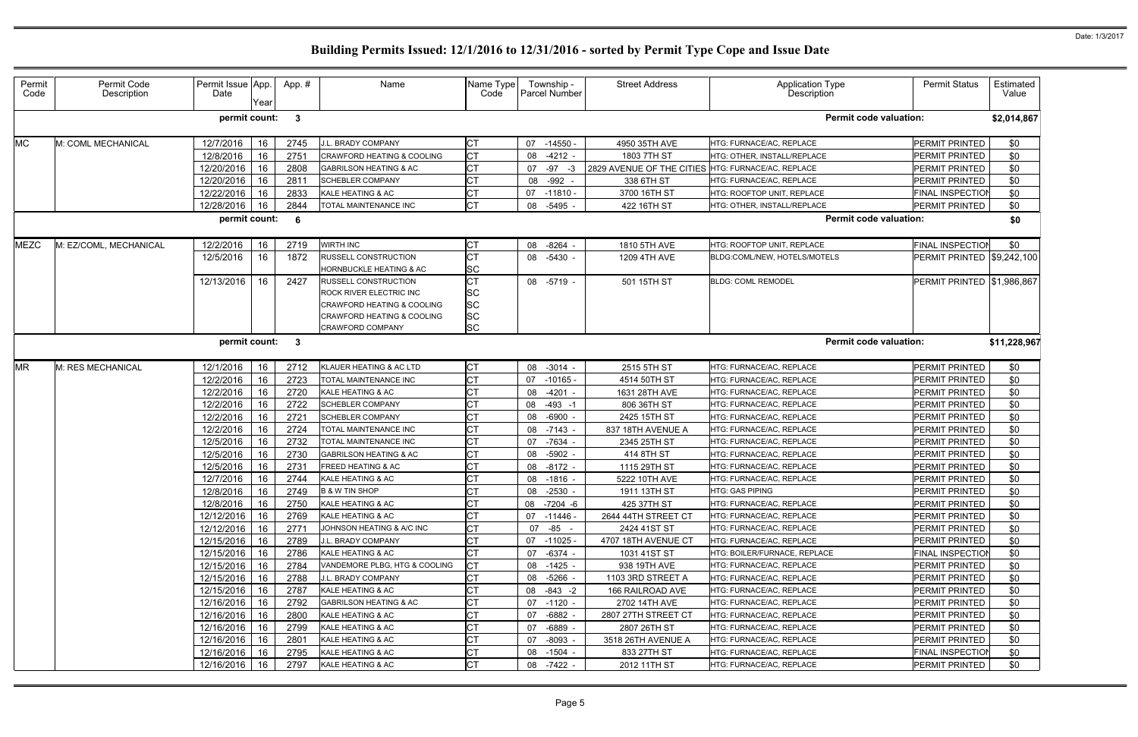| Permit<br>Code                                       | Permit Code<br>Description | Permit Issue App.<br>Date | Yearl | App.#            | Name                                                   | Name Type<br>Code | Township -<br><b>Parcel Number</b> | <b>Street Address</b>                              | <b>Application Type</b><br>Description | <b>Permit Status</b>              | Estimated<br>Value |
|------------------------------------------------------|----------------------------|---------------------------|-------|------------------|--------------------------------------------------------|-------------------|------------------------------------|----------------------------------------------------|----------------------------------------|-----------------------------------|--------------------|
| <b>Permit code valuation:</b><br>permit count:<br>-3 |                            |                           |       |                  |                                                        |                   |                                    |                                                    |                                        |                                   | \$2,014,867        |
| МC                                                   | M: COML MECHANICAL         | 12/7/2016                 | 16    | 2745             | J.L. BRADY COMPANY                                     | СT                | $-14550$ .<br>07                   | 4950 35TH AVE                                      | HTG: FURNACE/AC, REPLACE               | <b>PERMIT PRINTED</b>             | \$0                |
|                                                      |                            | 12/8/2016                 | 16    | 2751             | <b>CRAWFORD HEATING &amp; COOLING</b>                  | <b>CT</b>         | $-4212 -$<br>08                    | 1803 7TH ST                                        | HTG: OTHER, INSTALL/REPLACE            | PERMIT PRINTED                    | \$0                |
|                                                      |                            | 12/20/2016                | 16    | 2808             | GABRILSON HEATING & AC                                 | <b>CT</b>         | $-97 -3$<br>07                     | 2829 AVENUE OF THE CITIES HTG: FURNACE/AC, REPLACE |                                        | PERMIT PRINTED                    | \$0                |
|                                                      |                            | 12/20/2016                | 16    | 2811             | <b>SCHEBLER COMPANY</b>                                | <b>CT</b>         | -992<br>08                         | 338 6TH ST                                         | HTG: FURNACE/AC, REPLACE               | PERMIT PRINTED                    | \$0                |
|                                                      |                            | 12/22/2016                | 16    | 2833             | KALE HEATING & AC                                      | <b>CT</b>         | $-11810 -$<br>07                   | 3700 16TH ST                                       | HTG: ROOFTOP UNIT, REPLACE             | <b>FINAL INSPECTION</b>           | \$0                |
|                                                      |                            | 12/28/2016                | 16    | 2844             | TOTAL MAINTENANCE INC                                  | <b>CT</b>         | 08<br>-5495                        | 422 16TH ST                                        | HTG: OTHER, INSTALL/REPLACE            | PERMIT PRINTED                    | \$0                |
|                                                      |                            | permit count:             |       | - 6              |                                                        |                   |                                    |                                                    | <b>Permit code valuation:</b>          |                                   | \$0                |
| MEZC                                                 | M: EZ/COML, MECHANICAL     | 12/2/2016                 | 16    | 2719             | <b>WIRTH INC</b>                                       | <b>CT</b>         | -8264<br>08                        | 1810 5TH AVE                                       | HTG: ROOFTOP UNIT, REPLACE             | <b>FINAL INSPECTION</b>           | \$0                |
|                                                      |                            | 12/5/2016                 | 16    | 1872             | <b>RUSSELL CONSTRUCTION</b><br>HORNBUCKLE HEATING & AC | <b>CT</b><br>SC   | 08 -5430 -                         | 1209 4TH AVE                                       | BLDG:COML/NEW, HOTELS/MOTELS           | <b>PERMIT PRINTED \$9,242,100</b> |                    |
|                                                      |                            | 12/13/2016                | 16    | 2427             | <b>RUSSELL CONSTRUCTION</b>                            | <b>CT</b>         | 08 -5719 -                         | 501 15TH ST                                        | <b>BLDG: COML REMODEL</b>              | PERMIT PRINTED   \$1,986,867      |                    |
|                                                      |                            |                           |       |                  | ROCK RIVER ELECTRIC INC                                | SC                |                                    |                                                    |                                        |                                   |                    |
|                                                      |                            |                           |       |                  | <b>CRAWFORD HEATING &amp; COOLING</b>                  | <b>SC</b>         |                                    |                                                    |                                        |                                   |                    |
|                                                      |                            |                           |       |                  | <b>CRAWFORD HEATING &amp; COOLING</b>                  | <b>SC</b>         |                                    |                                                    |                                        |                                   |                    |
|                                                      |                            |                           |       |                  | <b>CRAWFORD COMPANY</b>                                | <b>SC</b>         |                                    |                                                    |                                        |                                   |                    |
|                                                      |                            | permit count:             |       | - 3              |                                                        |                   |                                    |                                                    | <b>Permit code valuation:</b>          |                                   | \$11,228,967       |
| ΜR                                                   | M: RES MECHANICAL          | 12/1/2016                 | 16    | 2712             | KLAUER HEATING & AC LTD                                | <b>CT</b>         | $-3014 -$<br>08                    | 2515 5TH ST                                        | HTG: FURNACE/AC, REPLACE               | PERMIT PRINTED                    | \$0                |
|                                                      |                            | 12/2/2016                 | 16    | 2723             | TOTAL MAINTENANCE INC                                  | <b>CT</b>         | 07<br>$-10165 -$                   | 4514 50TH ST                                       | HTG: FURNACE/AC, REPLACE               | PERMIT PRINTED                    | \$0                |
|                                                      |                            | 12/2/2016                 | 16    | 2720             | KALE HEATING & AC                                      | <b>CT</b>         | $-4201$<br>08                      | 1631 28TH AVE                                      | HTG: FURNACE/AC, REPLACE               | PERMIT PRINTED                    | \$0                |
|                                                      |                            | 12/2/2016                 | 16    | 2722             | <b>SCHEBLER COMPANY</b>                                | СT                | $-493 - 1$<br>08                   | 806 36TH ST                                        | HTG: FURNACE/AC, REPLACE               | PERMIT PRINTED                    | \$0                |
|                                                      |                            | 12/2/2016                 | 16    | 272 <sup>1</sup> | <b>SCHEBLER COMPANY</b>                                | <b>CT</b>         | $-6900$<br>08                      | 2425 15TH ST                                       | HTG: FURNACE/AC, REPLACE               | PERMIT PRINTED                    | \$0                |
|                                                      |                            | 12/2/2016                 | 16    | 2724             | TOTAL MAINTENANCE INC                                  | <b>CT</b>         | $-7143 -$<br>08                    | 837 18TH AVENUE A                                  | HTG: FURNACE/AC, REPLACE               | PERMIT PRINTED                    | \$0                |
|                                                      |                            | 12/5/2016                 | 16    | 2732             | TOTAL MAINTENANCE INC                                  | <b>CT</b>         | -7634<br>07                        | 2345 25TH ST                                       | HTG: FURNACE/AC, REPLACE               | PERMIT PRINTED                    | \$0                |
|                                                      |                            | 12/5/2016                 | 16    | 2730             | GABRILSON HEATING & AC                                 | <b>CT</b>         | $-5902 -$<br>08                    | 414 8TH ST                                         | HTG: FURNACE/AC, REPLACE               | PERMIT PRINTED                    | \$0                |
|                                                      |                            | 12/5/2016                 | 16    | 2731             | <b>FREED HEATING &amp; AC</b>                          | <b>CT</b>         | 08 -8172 -                         | 1115 29TH ST                                       | HTG: FURNACE/AC, REPLACE               | PERMIT PRINTED                    | \$0                |
|                                                      |                            | 12/7/2016                 | 16    | 2744             | KALE HEATING & AC                                      | <b>CT</b>         | $-1816 -$<br>08                    | 5222 10TH AVE                                      | HTG: FURNACE/AC, REPLACE               | PERMIT PRINTED                    | \$0                |
|                                                      |                            | 12/8/2016                 | 16    | 2749             | <b>B &amp; W TIN SHOP</b>                              | <b>CT</b>         | 08 - 2530 -                        | 1911 13TH ST                                       | HTG: GAS PIPING                        | PERMIT PRINTED                    | \$0                |
|                                                      |                            | 12/8/2016                 | 16    | 2750             | KALE HEATING & AC                                      | <b>CT</b>         | 08 -7204 -6                        | 425 37TH ST                                        | HTG: FURNACE/AC, REPLACE               | PERMIT PRINTED                    | \$0                |
|                                                      |                            | 12/12/2016                | 16    | 2769             | KALE HEATING & AC                                      | <b>CT</b>         | 07<br>-11446 -                     | 2644 44TH STREET CT                                | HTG: FURNACE/AC, REPLACE               | PERMIT PRINTED                    | <b>\$0</b>         |
|                                                      |                            | 12/12/2016                | 16    | 2771             | JOHNSON HEATING & A/C INC                              | <b>CT</b>         | 07 -85 -                           | 2424 41ST ST                                       | HTG: FURNACE/AC. REPLACE               | <b>PERMIT PRINTED</b>             | \$0                |
|                                                      |                            | 12/15/2016                | 16    | 2789             | J.L. BRADY COMPANY                                     | <b>CT</b>         | -11025 -<br>07                     | 4707 18TH AVENUE CT                                | HTG: FURNACE/AC, REPLACE               | PERMIT PRINTED                    | \$0                |
|                                                      |                            | 12/15/2016                | 16    | 2786             | KALE HEATING & AC                                      | <b>CT</b>         | -6374 -<br>07                      | 1031 41ST ST                                       | HTG: BOILER/FURNACE, REPLACE           | <b>FINAL INSPECTION</b>           | \$0                |
|                                                      |                            | 12/15/2016                | 16    | 2784             | VANDEMORE PLBG. HTG & COOLING                          | <b>CT</b>         | -1425 -<br>08                      | 938 19TH AVE                                       | HTG: FURNACE/AC, REPLACE               | <b>PERMIT PRINTED</b>             | \$0                |
|                                                      |                            | 12/15/2016                | 16    | 2788             | J.L. BRADY COMPANY                                     | <b>CT</b>         | 08 -5266 -                         | 1103 3RD STREET A                                  | HTG: FURNACE/AC, REPLACE               | <b>PERMIT PRINTED</b>             | \$0                |
|                                                      |                            | 12/15/2016                | 16    | 2787             | KALE HEATING & AC                                      | <b>CT</b>         | $-843 - 2$<br>08                   | 166 RAILROAD AVE                                   | HTG: FURNACE/AC, REPLACE               | PERMIT PRINTED                    | \$0                |
|                                                      |                            | 12/16/2016                | 16    | 2792             | <b>GABRILSON HEATING &amp; AC</b>                      | СT                | -1120 -<br>07                      | 2702 14TH AVE                                      | HTG: FURNACE/AC, REPLACE               | <b>PERMIT PRINTED</b>             | \$0                |
|                                                      |                            | 12/16/2016                | 16    | 2800             | KALE HEATING & AC                                      | <b>CT</b>         | $-6882 -$<br>07                    | 2807 27TH STREET CT                                | HTG: FURNACE/AC, REPLACE               | PERMIT PRINTED                    | \$0                |
|                                                      |                            | 12/16/2016                | 16    | 2799             | KALE HEATING & AC                                      | СT                | -6889 -<br>07                      | 2807 26TH ST                                       | HTG: FURNACE/AC, REPLACE               | <b>PERMIT PRINTED</b>             | \$0                |
|                                                      |                            | 12/16/2016                | 16    | 2801             | <b>KALE HEATING &amp; AC</b>                           | <b>CT</b>         | -8093 -<br>07                      | 3518 26TH AVENUE A                                 | HTG: FURNACE/AC, REPLACE               | <b>PERMIT PRINTED</b>             | \$0                |
|                                                      |                            | 12/16/2016                | 16    | 2795             | <b>KALE HEATING &amp; AC</b>                           | <b>CT</b>         | -1504 -<br>08                      | 833 27TH ST                                        | HTG: FURNACE/AC, REPLACE               | <b>FINAL INSPECTION</b>           | \$0                |
|                                                      |                            | 12/16/2016                | 16    | 2797             | KALE HEATING & AC                                      | <b>CT</b>         | 08 -7422 -                         | 2012 11TH ST                                       | HTG: FURNACE/AC, REPLACE               | <b>PERMIT PRINTED</b>             | \$0                |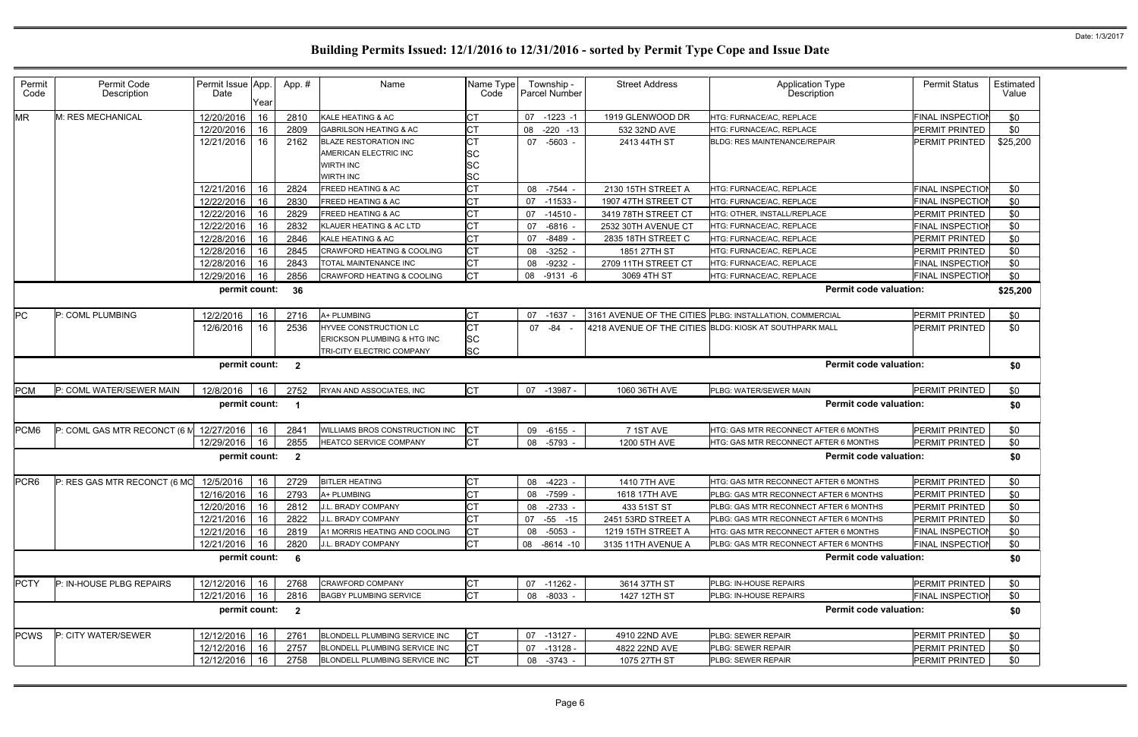| Permit<br>Code   | Permit Code<br>Description   | Permit Issue App.<br>Date | Year | App.#                   | Name                                  | Name Type<br>Code | Township -<br>Parcel Number | <b>Street Address</b> | <b>Application Type</b><br>Description                   | <b>Permit Status</b>    | Estimated<br>Value |
|------------------|------------------------------|---------------------------|------|-------------------------|---------------------------------------|-------------------|-----------------------------|-----------------------|----------------------------------------------------------|-------------------------|--------------------|
| <b>MR</b>        | M: RES MECHANICAL            | 12/20/2016                | 16   | 2810                    | KALE HEATING & AC                     | <b>CT</b>         | 07<br>$-1223 - 1$           | 1919 GLENWOOD DR      | HTG: FURNACE/AC, REPLACE                                 | <b>FINAL INSPECTIOI</b> | \$0                |
|                  |                              | 12/20/2016                | 16   | 2809                    | <b>GABRILSON HEATING &amp; AC</b>     | Iст               | 08<br>$-220 - 13$           | 532 32ND AVE          | HTG: FURNACE/AC, REPLACE                                 | PERMIT PRINTED          | \$0                |
|                  |                              | 12/21/2016                | 16   | 2162                    | <b>BLAZE RESTORATION INC</b>          | <b>CT</b>         | $-5603 -$<br>07             | 2413 44TH ST          | <b>BLDG: RES MAINTENANCE/REPAIR</b>                      | PERMIT PRINTED          | \$25,200           |
|                  |                              |                           |      |                         | AMERICAN ELECTRIC INC                 | <b>SC</b>         |                             |                       |                                                          |                         |                    |
|                  |                              |                           |      |                         | <b>WIRTH INC</b>                      | <b>SC</b>         |                             |                       |                                                          |                         |                    |
|                  |                              |                           |      |                         | WIRTH INC                             | <b>SC</b>         |                             |                       |                                                          |                         |                    |
|                  |                              | 12/21/2016                | 16   | 2824                    | FREED HEATING & AC                    | <b>CT</b>         | 08<br>$-7544 -$             | 2130 15TH STREET A    | HTG: FURNACE/AC, REPLACE                                 | <b>FINAL INSPECTION</b> | \$0                |
|                  |                              | 12/22/2016                | 16   | 2830                    | FREED HEATING & AC                    | <b>CT</b>         | 07<br>$-11533 -$            | 1907 47TH STREET CT   | HTG: FURNACE/AC, REPLACE                                 | <b>FINAL INSPECTION</b> | \$0                |
|                  |                              | 12/22/2016                | 16   | 2829                    | FREED HEATING & AC                    | <b>CT</b>         | 07<br>$-14510 -$            | 3419 78TH STREET CT   | HTG: OTHER, INSTALL/REPLACE                              | PERMIT PRINTED          | \$0                |
|                  |                              | 12/22/2016                | 16   | 2832                    | KLAUER HEATING & AC LTD               | <b>CT</b>         | $-6816 -$<br>07             | 2532 30TH AVENUE CT   | HTG: FURNACE/AC, REPLACE                                 | FINAL INSPECTIOI        | \$0                |
|                  |                              | 12/28/2016                | 16   | 2846                    | KALE HEATING & AC                     | <b>CT</b>         | $-8489 -$<br>07             | 2835 18TH STREET C    | HTG: FURNACE/AC, REPLACE                                 | PERMIT PRINTED          | \$0                |
|                  |                              | 12/28/2016                | 16   | 2845                    | <b>CRAWFORD HEATING &amp; COOLING</b> | <b>CT</b>         | $-3252 -$<br>08             | 1851 27TH ST          | HTG: FURNACE/AC, REPLACE                                 | PERMIT PRINTED          | \$0                |
|                  |                              | 12/28/2016                | 16   | 2843                    | TOTAL MAINTENANCE INC                 | <b>CT</b>         | $-9232 -$<br>08             | 2709 11TH STREET CT   | HTG: FURNACE/AC, REPLACE                                 | <b>FINAL INSPECTION</b> | \$0                |
|                  |                              | 12/29/2016                | 16   | 2856                    | <b>CRAWFORD HEATING &amp; COOLING</b> | <b>CT</b>         | 08<br>$-9131 - 6$           | 3069 4TH ST           | HTG: FURNACE/AC, REPLACE                                 | FINAL INSPECTIOI        | \$0                |
|                  |                              | permit count:             |      | 36                      |                                       |                   |                             |                       | <b>Permit code valuation:</b>                            |                         | \$25,200           |
| PC               | P: COML PLUMBING             | 12/2/2016                 | 16   | 2716                    | A+ PLUMBING                           | <b>CT</b>         | $-1637$<br>07               |                       | 3161 AVENUE OF THE CITIES PLBG: INSTALLATION, COMMERCIAL | PERMIT PRINTED          | \$0                |
|                  |                              | 12/6/2016                 | 16   | 2536                    | HYVEE CONSTRUCTION LC                 | <b>CT</b>         | 07 - 84 -                   |                       | 4218 AVENUE OF THE CITIES BLDG: KIOSK AT SOUTHPARK MALL  | PERMIT PRINTED          | \$0                |
|                  |                              |                           |      |                         | ERICKSON PLUMBING & HTG INC           | <b>SC</b>         |                             |                       |                                                          |                         |                    |
|                  |                              |                           |      |                         | TRI-CITY ELECTRIC COMPANY             | <b>SC</b>         |                             |                       |                                                          |                         |                    |
|                  |                              | permit count: 2           |      |                         |                                       |                   |                             |                       | <b>Permit code valuation:</b>                            |                         | \$0                |
| <b>PCM</b>       | P: COML WATER/SEWER MAIN     | 12/8/2016                 | 16   | 2752                    | RYAN AND ASSOCIATES, INC              | <b>CT</b>         | 07 -13987 -                 | 1060 36TH AVE         | PLBG: WATER/SEWER MAIN                                   | PERMIT PRINTED          | \$0                |
|                  |                              | permit count:             |      | $\overline{\mathbf{1}}$ |                                       |                   |                             |                       | <b>Permit code valuation:</b>                            |                         | \$0                |
| PCM <sub>6</sub> | P: COML GAS MTR RECONCT (6 M | 12/27/2016                | 16   | 2841                    | <b>WILLIAMS BROS CONSTRUCTION INC</b> | <b>CT</b>         | $-6155 -$<br>09             | 7 1ST AVE             | HTG: GAS MTR RECONNECT AFTER 6 MONTHS                    | PERMIT PRINTED          | \$0                |
|                  |                              | 12/29/2016                | 16   | 2855                    | HEATCO SERVICE COMPANY                | <b>CT</b>         | 08<br>-5793 -               | 1200 5TH AVE          | HTG: GAS MTR RECONNECT AFTER 6 MONTHS                    | PERMIT PRINTED          | \$0                |
|                  |                              | permit count:             |      | $\overline{\mathbf{2}}$ |                                       |                   |                             |                       | <b>Permit code valuation:</b>                            |                         | \$0                |
| PCR <sub>6</sub> | P: RES GAS MTR RECONCT (6 MO | 12/5/2016                 | 16   | 2729                    | <b>BITLER HEATING</b>                 | <b>CT</b>         | 08 -4223 -                  | 1410 7TH AVE          | <b>HTG: GAS MTR RECONNECT AFTER 6 MONTHS</b>             | PERMIT PRINTED          | \$0                |
|                  |                              | 12/16/2016 16             |      | 2793                    | A+ PLUMBING                           | <b>CT</b>         | 08 -7599 -                  | 1618 17TH AVE         | PLBG: GAS MTR RECONNECT AFTER 6 MONTHS                   | PERMIT PRINTED          | \$0                |
|                  |                              | 12/20/2016                | 16   | 2812                    | J.L. BRADY COMPANY                    | <b>CT</b>         | 08<br>$-2733 -$             | 433 51ST ST           | PLBG: GAS MTR RECONNECT AFTER 6 MONTHS                   | PERMIT PRINTED          | \$0                |
|                  |                              | 12/21/2016                | 16   | 2822                    | J.L. BRADY COMPANY                    | <b>CT</b>         | -55 -15<br>07               | 2451 53RD STREET A    | PLBG: GAS MTR RECONNECT AFTER 6 MONTHS                   | PERMIT PRINTED          | \$0                |
|                  |                              | 12/21/2016                | 16   | 2819                    | A1 MORRIS HEATING AND COOLING         | <b>CT</b>         | $-5053 -$<br>08             | 1219 15TH STREET A    | HTG: GAS MTR RECONNECT AFTER 6 MONTHS                    | <b>FINAL INSPECTION</b> | \$0                |
|                  |                              | 12/21/2016                | 16   | 2820                    | J.L. BRADY COMPANY                    | <b>CT</b>         | 08 -8614 -10                | 3135 11TH AVENUE A    | PLBG: GAS MTR RECONNECT AFTER 6 MONTHS                   | <b>FINAL INSPECTION</b> | \$0                |
|                  |                              | permit count:             |      | - 6                     |                                       |                   |                             |                       | <b>Permit code valuation:</b>                            |                         | \$0                |
| <b>PCTY</b>      | P: IN-HOUSE PLBG REPAIRS     | 12/12/2016                | 16   | 2768                    | <b>CRAWFORD COMPANY</b>               | <b>CT</b>         | 07 -11262 -                 | 3614 37TH ST          | PLBG: IN-HOUSE REPAIRS                                   | PERMIT PRINTED          | \$0                |
|                  |                              | 12/21/2016 16             |      | 2816                    | <b>BAGBY PLUMBING SERVICE</b>         | <b>CT</b>         | 08<br>$-8033 -$             | 1427 12TH ST          | PLBG: IN-HOUSE REPAIRS                                   | <b>FINAL INSPECTION</b> | \$0                |
|                  |                              | permit count:             |      | $\overline{\mathbf{2}}$ |                                       |                   |                             |                       | <b>Permit code valuation:</b>                            |                         | \$0                |
|                  |                              |                           |      |                         |                                       |                   |                             |                       |                                                          |                         |                    |
| <b>PCWS</b>      | P: CITY WATER/SEWER          | 12/12/2016                | 16   | 2761                    | BLONDELL PLUMBING SERVICE INC         | IСТ               | 07<br>$-13127 -$            | 4910 22ND AVE         | PLBG: SEWER REPAIR                                       | PERMIT PRINTED          | \$0                |
|                  |                              | 12/12/2016                | 16   | 2757                    | BLONDELL PLUMBING SERVICE INC         | <b>CT</b>         | 07<br>$-13128 -$            | 4822 22ND AVE         | PLBG: SEWER REPAIR                                       | PERMIT PRINTED          | \$0                |
|                  |                              | 12/12/2016                | 16   | 2758                    | BLONDELL PLUMBING SERVICE INC         | <b>CT</b>         | 08 -3743 -                  | 1075 27TH ST          | PLBG: SEWER REPAIR                                       | PERMIT PRINTED          | \$0                |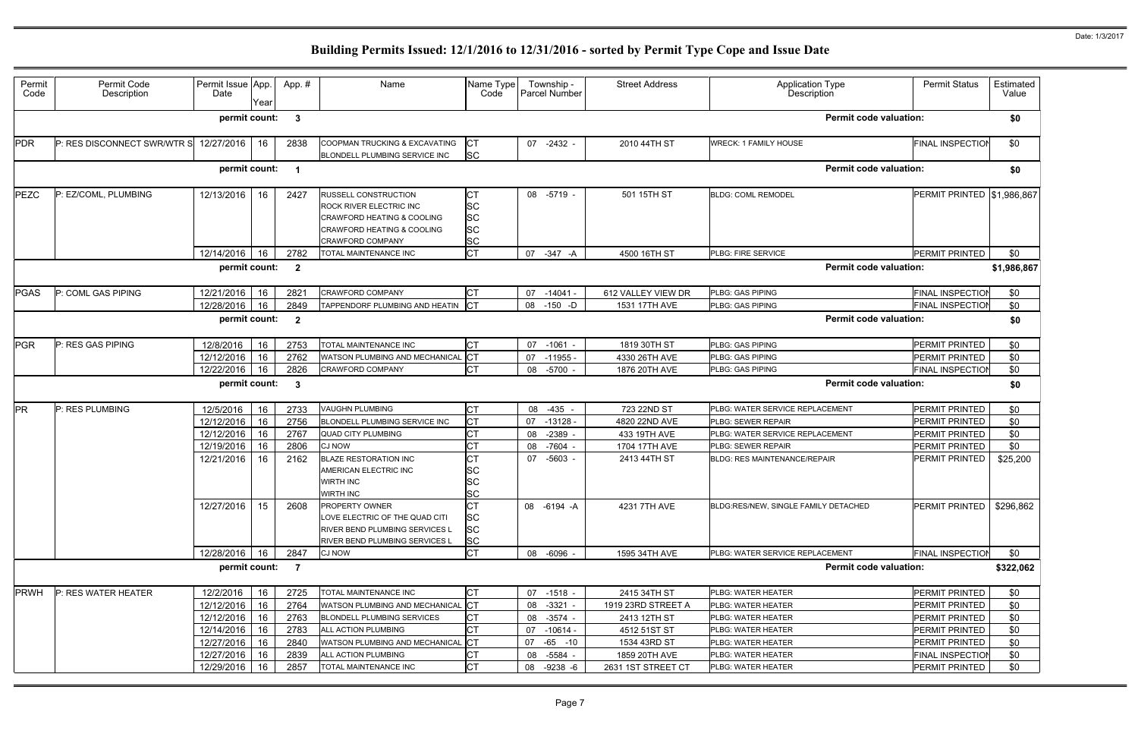| Permit<br>Code | Permit Code<br>Description  | Permit Issue App.<br>Date | Year | App.#                   | Name                                                                                                                                              | Name Type<br>Code                                             | Township -<br>Parcel Number | <b>Street Address</b> | <b>Application Type</b><br>Description | <b>Permit Status</b>    | Estimated<br>Value |
|----------------|-----------------------------|---------------------------|------|-------------------------|---------------------------------------------------------------------------------------------------------------------------------------------------|---------------------------------------------------------------|-----------------------------|-----------------------|----------------------------------------|-------------------------|--------------------|
|                |                             | permit count:             |      | -3                      |                                                                                                                                                   |                                                               |                             |                       | <b>Permit code valuation:</b>          |                         | \$0                |
| <b>PDR</b>     | P: RES DISCONNECT SWR/WTR S | 12/27/2016                | 16   | 2838                    | COOPMAN TRUCKING & EXCAVATING<br>BLONDELL PLUMBING SERVICE INC                                                                                    | Iст<br><b>SC</b>                                              | 07 -2432 -                  | 2010 44TH ST          | <b>WRECK: 1 FAMILY HOUSE</b>           | <b>FINAL INSPECTIOI</b> | \$0                |
|                |                             | permit count:             |      | $\overline{\mathbf{1}}$ |                                                                                                                                                   |                                                               |                             |                       | <b>Permit code valuation:</b>          |                         | \$0                |
| PEZC           | P: EZ/COML, PLUMBING        | 12/13/2016                | 16   | 2427                    | RUSSELL CONSTRUCTION<br>ROCK RIVER ELECTRIC INC<br><b>CRAWFORD HEATING &amp; COOLING</b><br>CRAWFORD HEATING & COOLING<br><b>CRAWFORD COMPANY</b> | <b>CT</b><br><b>SC</b><br><b>SC</b><br><b>SC</b><br><b>SC</b> | 08 -5719 -                  | 501 15TH ST           | <b>BLDG: COML REMODEL</b>              | PERMIT PRINTED          | \$1,986,867        |
|                |                             | 12/14/2016                | 16   | 2782                    | TOTAL MAINTENANCE INC                                                                                                                             | <b>CT</b>                                                     | 07<br>-347 -A               | 4500 16TH ST          | PLBG: FIRE SERVICE                     | PERMIT PRINTED          | \$0                |
|                |                             | permit count:             |      | $\overline{\mathbf{2}}$ |                                                                                                                                                   |                                                               |                             |                       | <b>Permit code valuation:</b>          |                         | \$1,986,867        |
| <b>PGAS</b>    | P: COML GAS PIPING          | 12/21/2016                | 16   | 2821                    | <b>CRAWFORD COMPANY</b>                                                                                                                           | СT                                                            | 07<br>$-14041 -$            | 612 VALLEY VIEW DR    | PLBG: GAS PIPING                       | FINAL INSPECTION        | \$0                |
|                |                             | 12/28/2016                | 16   | 2849                    | TAPPENDORF PLUMBING AND HEATIN                                                                                                                    | <b>ICT</b>                                                    | $-150 - D$<br>08            | 1531 17TH AVE         | PLBG: GAS PIPING                       | <b>FINAL INSPECTION</b> | \$0                |
|                |                             | permit count:             |      | $\overline{\mathbf{2}}$ |                                                                                                                                                   |                                                               |                             |                       | <b>Permit code valuation:</b>          |                         | \$0                |
| <b>PGR</b>     | P: RES GAS PIPING           | 12/8/2016                 | 16   | 2753                    | TOTAL MAINTENANCE INC                                                                                                                             | <b>CT</b>                                                     | 07<br>$-1061$               | 1819 30TH ST          | PLBG: GAS PIPING                       | PERMIT PRINTED          | \$0                |
|                |                             | 12/12/2016                | 16   | 2762                    | WATSON PLUMBING AND MECHANICAL CT                                                                                                                 |                                                               | 07<br>$-11955$              | 4330 26TH AVE         | PLBG: GAS PIPING                       | PERMIT PRINTED          | \$0                |
|                |                             | 12/22/2016                | 16   | 2826                    | <b>CRAWFORD COMPANY</b>                                                                                                                           | <b>CT</b>                                                     | -5700<br>08                 | 1876 20TH AVE         | PLBG: GAS PIPING                       | <b>FINAL INSPECTIOI</b> | \$0                |
|                |                             |                           |      |                         |                                                                                                                                                   |                                                               |                             |                       |                                        |                         |                    |
|                |                             | permit count:             |      | - 3                     |                                                                                                                                                   |                                                               |                             |                       | <b>Permit code valuation:</b>          |                         | \$0                |
| <b>PR</b>      | P: RES PLUMBING             | 12/5/2016                 | 16   | 2733                    | VAUGHN PLUMBING                                                                                                                                   | <b>CT</b>                                                     | $-435 -$<br>08              | 723 22ND ST           | PLBG: WATER SERVICE REPLACEMENT        | PERMIT PRINTED          | \$0                |
|                |                             | 12/12/2016                | 16   | 2756                    | BLONDELL PLUMBING SERVICE INC                                                                                                                     | СT                                                            | 07<br>$-13128$              | 4820 22ND AVE         | PLBG: SEWER REPAIR                     | PERMIT PRINTED          | \$0                |
|                |                             | 12/12/2016                | 16   | 2767                    | <b>QUAD CITY PLUMBING</b>                                                                                                                         | <b>CT</b>                                                     | $-2389$<br>08               | 433 19TH AVE          | PLBG: WATER SERVICE REPLACEMENT        | PERMIT PRINTED          | \$0                |
|                |                             | 12/19/2016                | 16   | 2806                    | <b>CJ NOW</b>                                                                                                                                     | СT                                                            | 08<br>-7604                 | 1704 17TH AVE         | PLBG: SEWER REPAIR                     | PERMIT PRINTED          | \$0                |
|                |                             | 12/21/2016                | 16   | 2162                    | <b>BLAZE RESTORATION INC</b><br>AMERICAN ELECTRIC INC<br>WIRTH INC<br>WIRTH INC                                                                   | <b>CT</b><br><b>SC</b><br><b>SC</b>                           | 07<br>$-5603 -$             | 2413 44TH ST          | <b>BLDG: RES MAINTENANCE/REPAIR</b>    | PERMIT PRINTED          | \$25,200           |
|                |                             | 12/27/2016                | 15   | 2608                    | PROPERTY OWNER<br>LOVE ELECTRIC OF THE QUAD CITI<br>RIVER BEND PLUMBING SERVICES L<br>RIVER BEND PLUMBING SERVICES L                              | <b>SC</b><br>СT<br><b>SC</b><br><b>SC</b><br><b>SC</b>        | 08 -6194 -A                 | 4231 7TH AVE          | BLDG:RES/NEW. SINGLE FAMILY DETACHED   | PERMIT PRINTED          | \$296,862          |
|                |                             | 12/28/2016                | 16   | 2847                    | <b>CJ NOW</b>                                                                                                                                     | <b>CT</b>                                                     | 08 -6096 -                  | 1595 34TH AVE         | PLBG: WATER SERVICE REPLACEMENT        | <b>FINAL INSPECTION</b> | \$0                |
|                |                             | permit count:             |      | $\overline{7}$          |                                                                                                                                                   |                                                               |                             |                       | <b>Permit code valuation:</b>          |                         | \$322,062          |
| <b>PRWH</b>    | P: RES WATER HEATER         | 12/2/2016                 | 16   | 2725                    | TOTAL MAINTENANCE INC                                                                                                                             | <b>CT</b>                                                     | 07 -1518 -                  | 2415 34TH ST          | PLBG: WATER HEATER                     | PERMIT PRINTED          | \$0                |
|                |                             | 12/12/2016                | 16   | 2764                    | WATSON PLUMBING AND MECHANICAL CT                                                                                                                 |                                                               | $-3321 -$<br>08             | 1919 23RD STREET A    | PLBG: WATER HEATER                     | <b>PERMIT PRINTED</b>   | \$0                |
|                |                             | 12/12/2016                | 16   | 2763                    | BLONDELL PLUMBING SERVICES                                                                                                                        |                                                               | 08<br>$-3574 -$             | 2413 12TH ST          | PLBG: WATER HEATER                     | PERMIT PRINTED          | \$0                |
|                |                             | 12/14/2016                | 16   | 2783                    | ALL ACTION PLUMBING                                                                                                                               | СT                                                            | 07<br>$-10614 -$            | 4512 51ST ST          | PLBG: WATER HEATER                     | PERMIT PRINTED          | \$0                |
|                |                             | 12/27/2016                | 16   | 2840                    | WATSON PLUMBING AND MECHANICAL CT                                                                                                                 |                                                               | 07<br>$-65 - 10$            | 1534 43RD ST          | PLBG: WATER HEATER                     | PERMIT PRINTED          | \$0                |
|                |                             | 12/27/2016                | 16   | 2839                    | ALL ACTION PLUMBING                                                                                                                               |                                                               | -5584 -<br>08               | 1859 20TH AVE         | PLBG: WATER HEATER                     | FINAL INSPECTION        | \$0                |